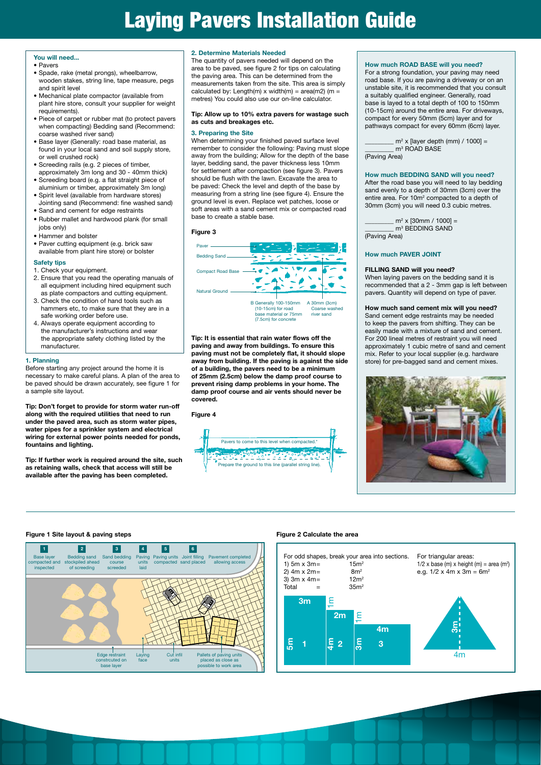#### **You will need...**

- Pavers
- Spade, rake (metal prongs), wheelbarrow, wooden stakes, string line, tape measure, pegs and spirit level
- Mechanical plate compactor (available from plant hire store, consult your supplier for weight requirements).
- Piece of carpet or rubber mat (to protect pavers when compacting) Bedding sand (Recommend: coarse washed river sand)
- Base layer (Generally: road base material, as found in your local sand and soil supply store, or well crushed rock)
- Screeding rails (e.g. 2 pieces of timber, approximately 3m long and 30 - 40mm thick)
- Screeding board (e.g. a flat straight piece of aluminium or timber, approximately 3m long)
- Spirit level (available from hardware stores) Jointing sand (Recommend: fine washed sand)
- Sand and cement for edge restraints
- Rubber mallet and hardwood plank (for small jobs only)
- Hammer and bolster
- Paver cutting equipment (e.g. brick saw available from plant hire store) or bolster

#### **Safety tips**

- 1. Check your equipment.
- 2. Ensure that you read the operating manuals of all equipment including hired equipment such as plate compactors and cutting equipment.
- 3. Check the condition of hand tools such as hammers etc, to make sure that they are in a safe working order before use.
- 4. Always operate equipment according to the manufacturer's instructions and wear the appropriate safety clothing listed by the manufacturer.

#### **1. Planning**

Before starting any project around the home it is necessary to make careful plans. A plan of the area to be paved should be drawn accurately, see figure 1 for a sample site layout.

**Tip: Don't forget to provide for storm water run-off along with the required utilities that need to run under the paved area, such as storm water pipes, water pipes for a sprinkler system and electrical wiring for external power points needed for ponds, fountains and lighting.**

**Tip: If further work is required around the site, such as retaining walls, check that access will still be available after the paving has been completed.** 

#### **2. Determine Materials Needed**

The quantity of pavers needed will depend on the area to be paved, see figure 2 for tips on calculating the paving area. This can be determined from the measurements taken from the site. This area is simply calculated by: Length(m)  $x$  width(m) = area(m2) (m = metres) You could also use our on-line calculator.

#### **Tip: Allow up to 10% extra pavers for wastage such as cuts and breakages etc.**

#### **3. Preparing the Site**

When determining your finished paved surface level remember to consider the following: Paving must slope away from the building; Allow for the depth of the base layer, bedding sand, the paver thickness less 10mm for settlement after compaction (see figure 3). Pavers should be flush with the lawn. Excavate the area to be paved: Check the level and depth of the base by measuring from a string line (see figure 4). Ensure the ground level is even. Replace wet patches, loose or soft areas with a sand cement mix or compacted road base to create a stable base.

#### **Figure 3**



**Tip: It is essential that rain water flows off the paving and away from buildings. To ensure this paving must not be completely flat, it should slope away from building. If the paving is against the side of a building, the pavers need to be a minimum of 25mm (2.5cm) below the damp proof course to prevent rising damp problems in your home. The damp proof course and air vents should never be covered.** 





#### **How much ROAD BASE will you need?**

For a strong foundation, your paving may need road base. If you are paving a driveway or on an unstable site, it is recommended that you consult a suitably qualified engineer. Generally, road base is layed to a total depth of 100 to 150mm (10-15cm) around the entire area. For driveways, compact for every 50mm (5cm) layer and for pathways compact for every 60mm (6cm) layer.

 $\frac{1}{2}$  m<sup>2</sup> x [layer depth (mm) / 1000] = \_\_\_\_\_\_\_\_\_\_ m<sup>3</sup> ROAD BASE (Paving Area)

**How much BEDDING SAND will you need?** After the road base you will need to lay bedding sand evenly to a depth of 30mm (3cm) over the entire area. For 10m<sup>2</sup> compacted to a depth of 30mm (3cm) you will need 0.3 cubic metres.

 $\frac{m^2 \times [30 \text{mm} / 1000]}{m^2}$ \_\_\_\_\_\_\_\_\_ m3 BEDDING SAND (Paving Area)

#### **How much PAVER JOINT**

#### **FILLING SAND will you need?**

**FILLING SAND WIII you need?**<br>When laying pavers on the bedding sand it is recommended that a 2 - 3mm gap is left between pavers. Quantity will depend on type of paver.

#### **How much sand cement mix will you need?**

Sand cement edge restraints may be needed to keep the pavers from shifting. They can be easily made with a mixture of sand and cement. For 200 lineal metres of restraint you will need approximately 1 cubic metre of sand and cement mix. Refer to your local supplier (e.g. hardware store) for pre-bagged sand and cement mixes.





### **Figure 1 Site layout & paving steps Figure 2 Calculate the area**

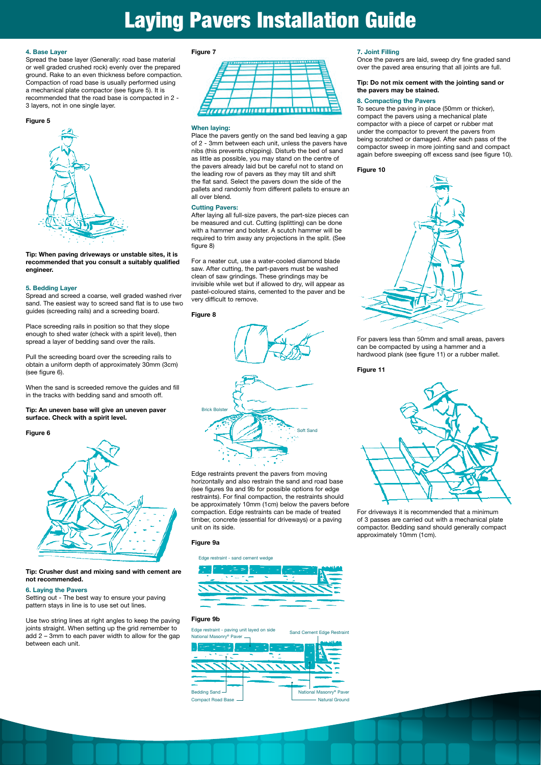#### **4. Base Layer**

Spread the base layer (Generally: road base material or well graded crushed rock) evenly over the prepared ground. Rake to an even thickness before compaction. Compaction of road base is usually performed using a mechanical plate compactor (see figure 5). It is recommended that the road base is compacted in 2 - 3 layers, not in one single layer.

#### **Figure 5**



**Tip: When paving driveways or unstable sites, it is recommended that you consult a suitably qualified engineer.** 

#### **5. Bedding Layer**

Spread and screed a coarse, well graded washed river sand. The easiest way to screed sand flat is to use two guides (screeding rails) and a screeding board.

Place screeding rails in position so that they slope enough to shed water (check with a spirit level), then spread a layer of bedding sand over the rails.

Pull the screeding board over the screeding rails to obtain a uniform depth of approximately 30mm (3cm) (see figure 6).

When the sand is screeded remove the guides and fill in the tracks with bedding sand and smooth off.

#### **Tip: An uneven base will give an uneven paver surface. Check with a spirit level.**

#### **Figure 6**



**Tip: Crusher dust and mixing sand with cement are not recommended.** 

#### **6. Laying the Pavers**

Setting out - The best way to ensure your paving pattern stays in line is to use set out lines.

Use two string lines at right angles to keep the paving joints straight. When setting up the grid remember to add 2 – 3mm to each paver width to allow for the gap between each unit.

#### **Figure 7**



#### **When laying:**

Place the pavers gently on the sand bed leaving a gap of 2 - 3mm between each unit, unless the pavers have nibs (this prevents chipping). Disturb the bed of sand as little as possible, you may stand on the centre of the pavers already laid but be careful not to stand on the leading row of pavers as they may tilt and shift the flat sand. Select the pavers down the side of the pallets and randomly from different pallets to ensure an all over blend.

#### **Cutting Pavers:**

After laying all full-size pavers, the part-size pieces can be measured and cut. Cutting (splitting) can be done with a hammer and bolster. A scutch hammer will be required to trim away any projections in the split. (See figure 8)

For a neater cut, use a water-cooled diamond blade saw. After cutting, the part-pavers must be washed clean of saw grindings. These grindings may be invisible while wet but if allowed to dry, will appear as pastel-coloured stains, cemented to the paver and be very difficult to remove.

#### **Figure 8**



Edge restraints prevent the pavers from moving horizontally and also restrain the sand and road base (see figures 9a and 9b for possible options for edge restraints). For final compaction, the restraints should be approximately 10mm (1cm) below the pavers before compaction. Edge restraints can be made of treated timber, concrete (essential for driveways) or a paving unit on its side.

#### **Figure 9a**

#### Edge restraint - sand cement wedge



#### **Figure 9b**

Edge restraint - paving unit layed on side



#### **7. Joint Filling**

Once the pavers are laid, sweep dry fine graded sand over the paved area ensuring that all joints are full.

#### **Tip: Do not mix cement with the jointing sand or the pavers may be stained.**

#### **8. Compacting the Pavers**

To secure the paving in place (50mm or thicker), compact the pavers using a mechanical plate compactor with a piece of carpet or rubber mat under the compactor to prevent the pavers from being scratched or damaged. After each pass of the compactor sweep in more jointing sand and compact again before sweeping off excess sand (see figure 10).

#### **Figure 10**



For pavers less than 50mm and small areas, pavers can be compacted by using a hammer and a hardwood plank (see figure 11) or a rubber mallet.

#### **Figure 11**



For driveways it is recommended that a minimum of 3 passes are carried out with a mechanical plate compactor. Bedding sand should generally compact approximately 10mm (1cm).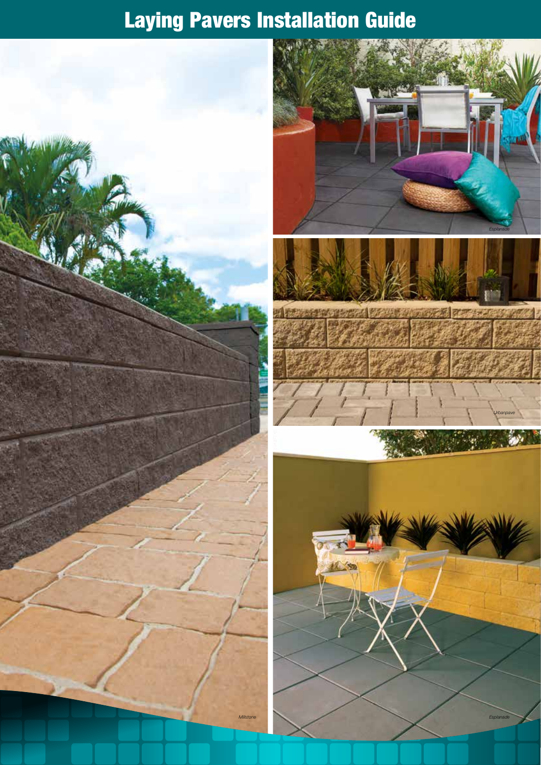